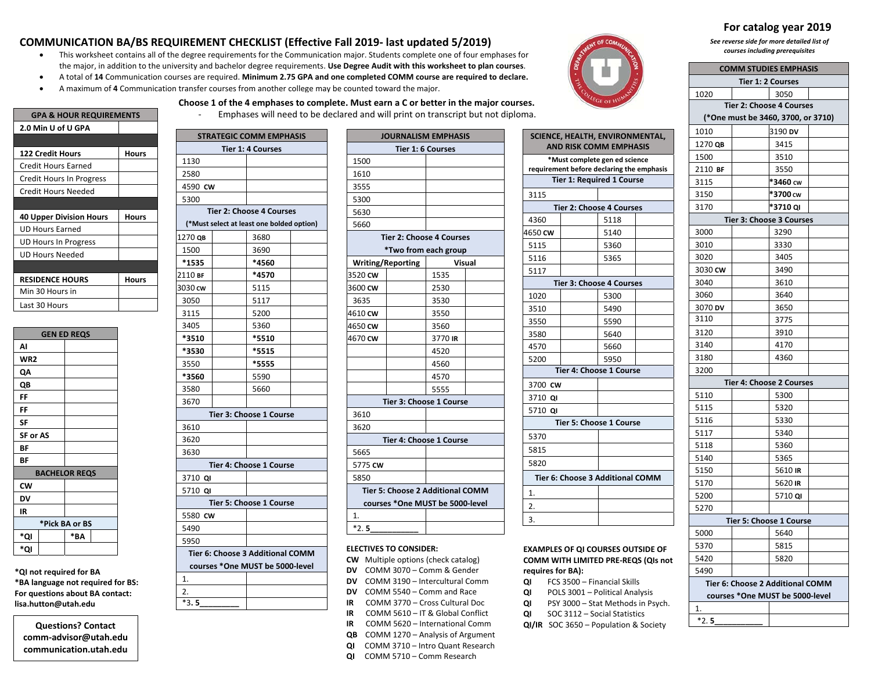## **COMMUNICATION BA/BS REQUIREMENT CHECKLIST (Effective Fall 2019‐ last updated 5/2019)**

- $\bullet$  This worksheet contains all of the degree requirements for the Communication major. Students complete one of four emphases for the major, in addition to the university and bachelor degree requirements. **Use Degree Audit with this worksheet to plan courses**.
- $\bullet$ A total of **14** Communication courses are required. **Minimum 2.75 GPA and one completed COMM course are required to declare.**

**Choose 1 of the 4 emphases to complete. Must earn <sup>a</sup> C or better in the major courses.**

 $\bullet$ A maximum of **4** Communication transfer courses from another college may be counted toward the major.



**SCIENCE, HEALTH, ENVIRONMENTAL, AND RISK COMM EMPHASIS**

| <b>GPA &amp; HOUR REQUIREMENTS</b> |       |  |  |
|------------------------------------|-------|--|--|
| 2.0 Min U of U GPA                 |       |  |  |
|                                    |       |  |  |
| <b>122 Credit Hours</b>            | Hours |  |  |
| <b>Credit Hours Earned</b>         |       |  |  |
| Credit Hours In Progress           |       |  |  |
| Credit Hours Needed                |       |  |  |
|                                    |       |  |  |
| <b>40 Upper Division Hours</b>     | Hours |  |  |
| <b>UD Hours Earned</b>             |       |  |  |
| <b>UD Hours In Progress</b>        |       |  |  |
| <b>UD Hours Needed</b>             |       |  |  |
|                                    |       |  |  |
|                                    |       |  |  |
| <b>RESIDENCE HOURS</b>             | Hours |  |  |
| Min 30 Hours in                    |       |  |  |
| Last 30 Hours                      |       |  |  |

| <b>GEN ED REQS</b>   |     |  |  |
|----------------------|-----|--|--|
| AI                   |     |  |  |
| WR <sub>2</sub>      |     |  |  |
| QΑ                   |     |  |  |
| QB                   |     |  |  |
| FF                   |     |  |  |
| FF                   |     |  |  |
| SF                   |     |  |  |
| <b>SF or AS</b>      |     |  |  |
| BF                   |     |  |  |
| BF                   |     |  |  |
| <b>BACHELOR REQS</b> |     |  |  |
| CW                   |     |  |  |
| DV                   |     |  |  |
| IR                   |     |  |  |
| *Pick BA or BS       |     |  |  |
| *QI                  | *ΒA |  |  |
| *QI                  |     |  |  |

**\*QI not required for BA \*BA language not required for BS: For questions about BA contact: lisa.hutton@utah.edu**

**Questions? Contact comm‐advisor@utah.edu communication.utah.edu**

|                                 | <b>STRATEGIC COMM EMPHASIS</b>            |  |  |  |
|---------------------------------|-------------------------------------------|--|--|--|
|                                 | <b>Tier 1: 4 Courses</b>                  |  |  |  |
| 1130                            |                                           |  |  |  |
| 2580                            |                                           |  |  |  |
| 4590 CW                         |                                           |  |  |  |
| 5300                            |                                           |  |  |  |
|                                 | <b>Tier 2: Choose 4 Courses</b>           |  |  |  |
|                                 | (*Must select at least one bolded option) |  |  |  |
| 1270 ов                         | 3680                                      |  |  |  |
| 1500                            | 3690                                      |  |  |  |
| *1535                           | *4560                                     |  |  |  |
| 2110 вғ                         | *4570                                     |  |  |  |
| 3030 cw                         | 5115                                      |  |  |  |
| 3050                            | 5117                                      |  |  |  |
| 3115                            | 5200                                      |  |  |  |
| 3405                            | 5360                                      |  |  |  |
| *3510                           | *5510                                     |  |  |  |
| *3530                           | *5515                                     |  |  |  |
| 3550                            | *5555                                     |  |  |  |
| *3560                           | 5590                                      |  |  |  |
| 3580                            | 5660                                      |  |  |  |
| 3670                            |                                           |  |  |  |
|                                 | Tier 3: Choose 1 Course                   |  |  |  |
| 3610                            |                                           |  |  |  |
| 3620                            |                                           |  |  |  |
| 3630                            |                                           |  |  |  |
|                                 | Tier 4: Choose 1 Course                   |  |  |  |
| 3710 QI                         |                                           |  |  |  |
| 5710<br>QI                      |                                           |  |  |  |
|                                 | <b>Tier 5: Choose 1 Course</b>            |  |  |  |
| 5580 CW                         |                                           |  |  |  |
| 5490                            |                                           |  |  |  |
| 5950                            |                                           |  |  |  |
|                                 | Tier 6: Choose 3 Additional COMM          |  |  |  |
| courses *One MUST be 5000-level |                                           |  |  |  |
| 1                               |                                           |  |  |  |

2.

\*3**. 5\_\_\_\_\_\_\_\_\_**

| <b>TEGIC COMM EMPHASIS</b>       |                          | <b>JOURNALISM EMPHASIS</b>       |  |
|----------------------------------|--------------------------|----------------------------------|--|
| Tier 1: 4 Courses                |                          | Tier 1: 6 Courses                |  |
|                                  | 1500                     |                                  |  |
|                                  | 1610                     |                                  |  |
|                                  | 3555                     |                                  |  |
|                                  | 5300                     |                                  |  |
| r 2: Choose 4 Courses            | 5630                     |                                  |  |
| lect at least one bolded option) | 5660                     |                                  |  |
| 3680                             |                          | <b>Tier 2: Choose 4 Courses</b>  |  |
| 3690                             |                          | *Two from each group             |  |
| *4560                            | <b>Writing/Reporting</b> | <b>Visual</b>                    |  |
| *4570                            | 3520 CW                  | 1535                             |  |
| 5115                             | 3600 CW                  | 2530                             |  |
| 5117                             | 3635                     | 3530                             |  |
| 5200                             | 4610 CW                  | 3550                             |  |
| 5360                             | 4650 CW                  | 3560                             |  |
| *5510                            | 4670 CW                  | 3770 IR                          |  |
| *5515                            |                          | 4520                             |  |
| *5555                            |                          | 4560                             |  |
| 5590                             |                          | 4570                             |  |
| 5660                             |                          | 5555                             |  |
|                                  |                          | Tier 3: Choose 1 Course          |  |
| er 3: Choose 1 Course            | 3610                     |                                  |  |
|                                  | 3620                     |                                  |  |
|                                  |                          | Tier 4: Choose 1 Course          |  |
|                                  | 5665                     |                                  |  |
| er 4: Choose 1 Course            | 5775 CW                  |                                  |  |
|                                  | 5850                     |                                  |  |
|                                  |                          | Tier 5: Choose 2 Additional COMM |  |
| er 5: Choose 1 Course            |                          | courses *One MUST be 5000-level  |  |
|                                  | 1.                       |                                  |  |
|                                  | $*2.5$                   |                                  |  |

## **\*Must complete gen ed science requirement before declaring the emphasis Tier 1: Required 1 Course** 3115**Tier 2: Choose 4 Courses** 4360 5118 4650 **CW** 5140 5115 5360 5116 5365 5117**Tier 3: Choose 4 Courses** 1020 5300 3510 5490 3550 5590 3580 5640 4570 5660 5200 5950 **Tier 4: Choose 1 Course** 3700 **CW**3710 **QI** 5710 **QI Tier 5: Choose 1 Course** 537058155820**Tier 6: Choose 3 Additional COMM**1.2. 3.

## **EXAMPLES OF QI COURSES OUTSIDE OF COMM WITH LIMITED PRE‐REQS (QIs not requires for BA):**

- **QI** FCS 3500 Financial Skills
- **QI** POLS 3001 Political Analysis
- **QI** PSY 3000 Stat Methods in Psych.
- **QI** SOC 3112 Social Statistics **QI/IR** SOC 3650 – Population & Society

# **For catalog year 2019**

*See reverse side for more detailed list of courses including prerequisites*

| <b>COMM STUDIES EMPHASIS</b>     |                   |                                    |  |  |
|----------------------------------|-------------------|------------------------------------|--|--|
|                                  | Tier 1: 2 Courses |                                    |  |  |
| 1020                             |                   | 3050                               |  |  |
| <b>Tier 2: Choose 4 Courses</b>  |                   |                                    |  |  |
|                                  |                   | (*One must be 3460, 3700, or 3710) |  |  |
| 1010                             |                   | 3190 DV                            |  |  |
| 1270 QB                          |                   | 3415                               |  |  |
| 1500                             |                   | 3510                               |  |  |
| 2110 BF                          |                   | 3550                               |  |  |
| 3115                             |                   | *3460 cw                           |  |  |
| 3150                             |                   | *3700 cw                           |  |  |
| 3170                             |                   | *3710 QI                           |  |  |
|                                  |                   | Tier 3: Choose 3 Courses           |  |  |
| 3000                             |                   | 3290                               |  |  |
| 3010                             |                   | 3330                               |  |  |
| 3020                             |                   | 3405                               |  |  |
| 3030 CW                          |                   | 3490                               |  |  |
| 3040                             |                   | 3610                               |  |  |
| 3060                             |                   | 3640                               |  |  |
| 3070 DV                          |                   | 3650                               |  |  |
| 3110                             |                   | 3775                               |  |  |
| 3120                             |                   | 3910                               |  |  |
| 3140                             |                   | 4170                               |  |  |
| 3180                             |                   | 4360                               |  |  |
| 3200                             |                   |                                    |  |  |
|                                  |                   | <b>Tier 4: Choose 2 Courses</b>    |  |  |
| 5110                             |                   | 5300                               |  |  |
| 5115                             |                   | 5320                               |  |  |
| 5116                             |                   | 5330                               |  |  |
| 5117                             |                   | 5340                               |  |  |
| 5118                             |                   | 5360                               |  |  |
| 5140                             |                   | 5365                               |  |  |
| 5150                             |                   | 5610 IR                            |  |  |
| 5170                             |                   | 5620 IR                            |  |  |
| 5200                             |                   | 5710 QI                            |  |  |
| 5270                             |                   |                                    |  |  |
| Tier 5: Choose 1 Course          |                   |                                    |  |  |
| 5000                             |                   | 5640                               |  |  |
| 5370                             |                   | 5815                               |  |  |
| 5420                             |                   | 5820                               |  |  |
| 5490                             |                   |                                    |  |  |
| Tier 6: Choose 2 Additional COMM |                   |                                    |  |  |
| courses *One MUST be 5000-level  |                   |                                    |  |  |
| 1.                               |                   |                                    |  |  |
| $*2.5$                           |                   |                                    |  |  |

**QI** COMM 3710 – Intro Quant Research **QI** COMM 5710 – Comm Research

**ELECTIVES TO CONSIDER:**

**CW** Multiple options (check catalog) **DV** COMM 3070 – Comm & Gender **DV** COMM 3190 – Intercultural Comm **DV** COMM 5540 – Comm and Race **IR** COMM 3770 – Cross Cultural Doc **IR** COMM 5610 – IT & Global Conflict **IR** COMM 5620 – International Comm **QB** COMM 1270 – Analysis of Argument